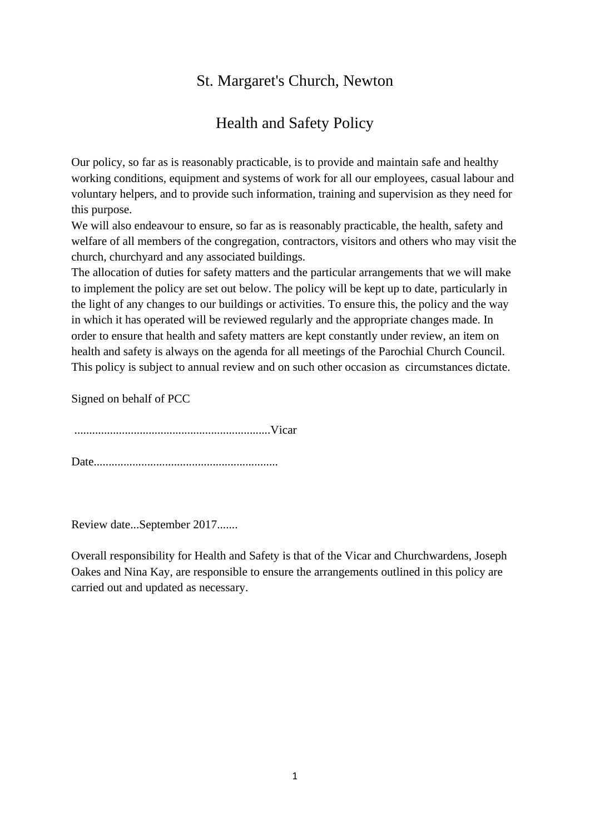# St. Margaret's Church, Newton

# Health and Safety Policy

Our policy, so far as is reasonably practicable, is to provide and maintain safe and healthy working conditions, equipment and systems of work for all our employees, casual labour and voluntary helpers, and to provide such information, training and supervision as they need for this purpose.

We will also endeavour to ensure, so far as is reasonably practicable, the health, safety and welfare of all members of the congregation, contractors, visitors and others who may visit the church, churchyard and any associated buildings.

The allocation of duties for safety matters and the particular arrangements that we will make to implement the policy are set out below. The policy will be kept up to date, particularly in the light of any changes to our buildings or activities. To ensure this, the policy and the way in which it has operated will be reviewed regularly and the appropriate changes made. In order to ensure that health and safety matters are kept constantly under review, an item on health and safety is always on the agenda for all meetings of the Parochial Church Council. This policy is subject to annual review and on such other occasion as circumstances dictate.

Signed on behalf of PCC

..................................................................Vicar

Date..............................................................

Review date...September 2017.......

Overall responsibility for Health and Safety is that of the Vicar and Churchwardens, Joseph Oakes and Nina Kay, are responsible to ensure the arrangements outlined in this policy are carried out and updated as necessary.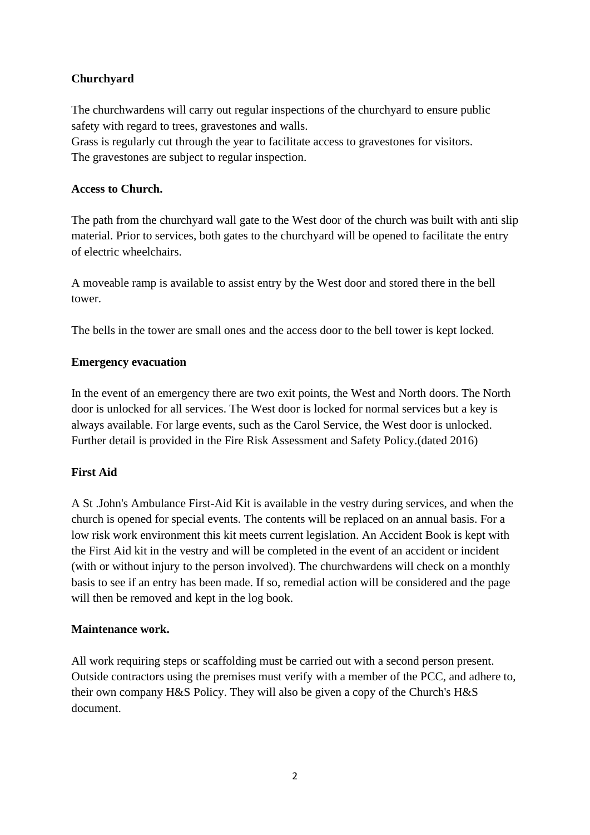## **Churchyard**

The churchwardens will carry out regular inspections of the churchyard to ensure public safety with regard to trees, gravestones and walls.

Grass is regularly cut through the year to facilitate access to gravestones for visitors. The gravestones are subject to regular inspection.

#### **Access to Church.**

The path from the churchyard wall gate to the West door of the church was built with anti slip material. Prior to services, both gates to the churchyard will be opened to facilitate the entry of electric wheelchairs.

A moveable ramp is available to assist entry by the West door and stored there in the bell tower.

The bells in the tower are small ones and the access door to the bell tower is kept locked.

## **Emergency evacuation**

In the event of an emergency there are two exit points, the West and North doors. The North door is unlocked for all services. The West door is locked for normal services but a key is always available. For large events, such as the Carol Service, the West door is unlocked. Further detail is provided in the Fire Risk Assessment and Safety Policy.(dated 2016)

## **First Aid**

A St .John's Ambulance First-Aid Kit is available in the vestry during services, and when the church is opened for special events. The contents will be replaced on an annual basis. For a low risk work environment this kit meets current legislation. An Accident Book is kept with the First Aid kit in the vestry and will be completed in the event of an accident or incident (with or without injury to the person involved). The churchwardens will check on a monthly basis to see if an entry has been made. If so, remedial action will be considered and the page will then be removed and kept in the log book.

#### **Maintenance work.**

All work requiring steps or scaffolding must be carried out with a second person present. Outside contractors using the premises must verify with a member of the PCC, and adhere to, their own company H&S Policy. They will also be given a copy of the Church's H&S document.